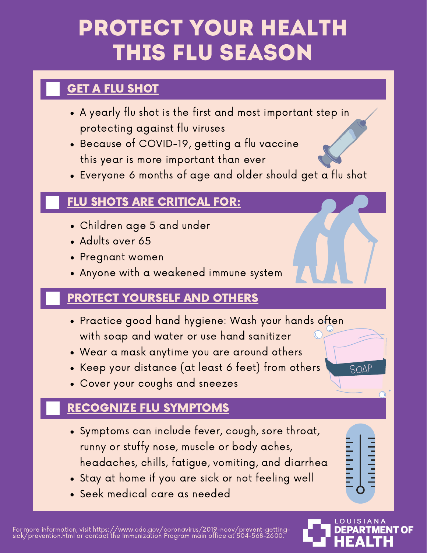# PROTECT YOUR HEALTH THIS FLU SEASON

### GET A FLU SHOT

- A yearly flu shot is the first and most important step in protecting against flu viruses
- Because of COVID-19, getting a flu vaccine this year is more important than ever
- Everyone 6 months of age and older should get a flu shot

#### FLU SHOTS ARE CRITICAL FOR:

- Children age 5 and under
- Adults over 65
- Pregnant women
- Anyone with a weakened immune system

### PROTECT YOURSELF AND OTHERS

- Practice good hand hygiene: Wash your hands often with soap and water or use hand sanitizer
- Wear a mask anytime you are around others
- Keep your distance (at least 6 feet) from others
- Cover your coughs and sneezes

#### RECOGNIZE FLU SYMPTOMS

- Symptoms can include fever, cough, sore throat, runny or stuffy nose, muscle or body aches, headaches, chills, fatigue, vomiting, and diarrhea
- Stay at home if you are sick or not feeling well
- Seek medical care as needed

For more information, visit https://www.cdc.gov/coronavirus/2019-ncov/prevent-gettingsick/prevention.html or contact the Immunization Program main office at 504-568-2600.

**ISIANA** 

**IT OF** 

SOAF